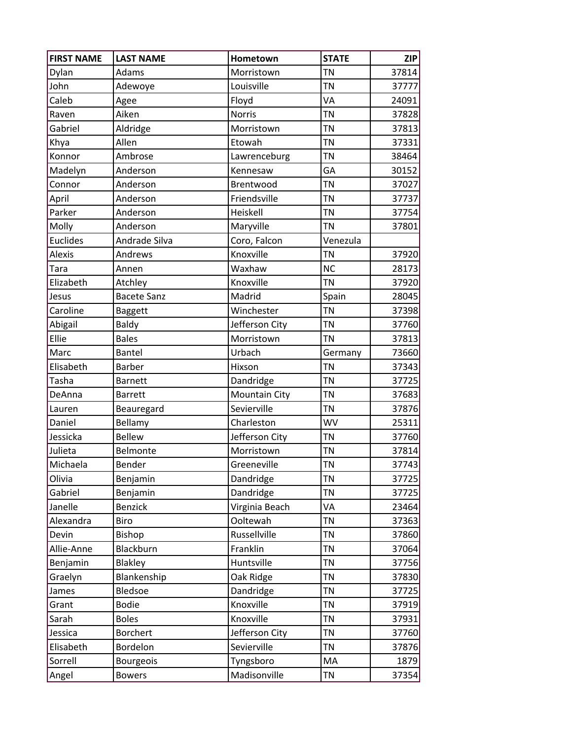| <b>FIRST NAME</b> | <b>LAST NAME</b>   | Hometown             | <b>STATE</b> | <b>ZIP</b> |
|-------------------|--------------------|----------------------|--------------|------------|
| Dylan             | Adams              | Morristown           | <b>TN</b>    | 37814      |
| John              | Adewoye            | Louisville           | <b>TN</b>    | 37777      |
| Caleb             | Agee               | Floyd                | VA           | 24091      |
| Raven             | Aiken              | <b>Norris</b>        | <b>TN</b>    | 37828      |
| Gabriel           | Aldridge           | Morristown           | <b>TN</b>    | 37813      |
| Khya              | Allen              | Etowah               | <b>TN</b>    | 37331      |
| Konnor            | Ambrose            | Lawrenceburg         | <b>TN</b>    | 38464      |
| Madelyn           | Anderson           | Kennesaw             | GA           | 30152      |
| Connor            | Anderson           | Brentwood            | <b>TN</b>    | 37027      |
| April             | Anderson           | Friendsville         | <b>TN</b>    | 37737      |
| Parker            | Anderson           | Heiskell             | <b>TN</b>    | 37754      |
| Molly             | Anderson           | Maryville            | <b>TN</b>    | 37801      |
| <b>Euclides</b>   | Andrade Silva      | Coro, Falcon         | Venezula     |            |
| Alexis            | Andrews            | Knoxville            | <b>TN</b>    | 37920      |
| Tara              | Annen              | Waxhaw               | <b>NC</b>    | 28173      |
| Elizabeth         | Atchley            | Knoxville            | <b>TN</b>    | 37920      |
| Jesus             | <b>Bacete Sanz</b> | Madrid               | Spain        | 28045      |
| Caroline          | Baggett            | Winchester           | <b>TN</b>    | 37398      |
| Abigail           | Baldy              | Jefferson City       | <b>TN</b>    | 37760      |
| Ellie             | <b>Bales</b>       | Morristown           | <b>TN</b>    | 37813      |
| Marc              | Bantel             | Urbach               | Germany      | 73660      |
| Elisabeth         | <b>Barber</b>      | Hixson               | <b>TN</b>    | 37343      |
| Tasha             | <b>Barnett</b>     | Dandridge            | <b>TN</b>    | 37725      |
| DeAnna            | <b>Barrett</b>     | <b>Mountain City</b> | <b>TN</b>    | 37683      |
| Lauren            | Beauregard         | Sevierville          | <b>TN</b>    | 37876      |
| Daniel            | Bellamy            | Charleston           | <b>WV</b>    | 25311      |
| Jessicka          | <b>Bellew</b>      | Jefferson City       | <b>TN</b>    | 37760      |
| Julieta           | Belmonte           | Morristown           | <b>TN</b>    | 37814      |
| Michaela          | Bender             | Greeneville          | <b>TN</b>    | 37743      |
| Olivia            | Benjamin           | Dandridge            | <b>TN</b>    | 37725      |
| Gabriel           | Benjamin           | Dandridge            | <b>TN</b>    | 37725      |
| Janelle           | <b>Benzick</b>     | Virginia Beach       | VA           | 23464      |
| Alexandra         | Biro               | Ooltewah             | <b>TN</b>    | 37363      |
| Devin             | Bishop             | Russellville         | <b>TN</b>    | 37860      |
| Allie-Anne        | Blackburn          | Franklin             | <b>TN</b>    | 37064      |
| Benjamin          | Blakley            | Huntsville           | <b>TN</b>    | 37756      |
| Graelyn           | Blankenship        | Oak Ridge            | <b>TN</b>    | 37830      |
| James             | Bledsoe            | Dandridge            | <b>TN</b>    | 37725      |
| Grant             | <b>Bodie</b>       | Knoxville            | <b>TN</b>    | 37919      |
| Sarah             | <b>Boles</b>       | Knoxville            | <b>TN</b>    | 37931      |
| Jessica           | Borchert           | Jefferson City       | <b>TN</b>    | 37760      |
| Elisabeth         | Bordelon           | Sevierville          | <b>TN</b>    | 37876      |
| Sorrell           | Bourgeois          | Tyngsboro            | MA           | 1879       |
| Angel             | <b>Bowers</b>      | Madisonville         | <b>TN</b>    | 37354      |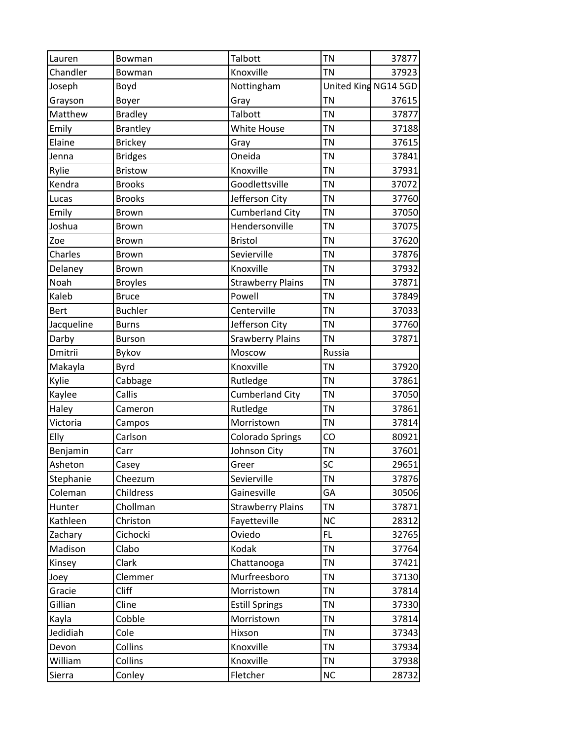| Lauren     | Bowman          | Talbott                  | TN        | 37877                |
|------------|-----------------|--------------------------|-----------|----------------------|
| Chandler   | Bowman          | Knoxville                | <b>TN</b> | 37923                |
| Joseph     | Boyd            | Nottingham               |           | United King NG14 5GD |
| Grayson    | Boyer           | Gray                     | <b>TN</b> | 37615                |
| Matthew    | <b>Bradley</b>  | Talbott                  | <b>TN</b> | 37877                |
| Emily      | <b>Brantley</b> | <b>White House</b>       | <b>TN</b> | 37188                |
| Elaine     | <b>Brickey</b>  | Gray                     | <b>TN</b> | 37615                |
| Jenna      | <b>Bridges</b>  | Oneida                   | <b>TN</b> | 37841                |
| Rylie      | <b>Bristow</b>  | Knoxville                | <b>TN</b> | 37931                |
| Kendra     | <b>Brooks</b>   | Goodlettsville           | <b>TN</b> | 37072                |
| Lucas      | <b>Brooks</b>   | Jefferson City           | TN        | 37760                |
| Emily      | <b>Brown</b>    | <b>Cumberland City</b>   | <b>TN</b> | 37050                |
| Joshua     | Brown           | Hendersonville           | <b>TN</b> | 37075                |
| Zoe        | <b>Brown</b>    | <b>Bristol</b>           | <b>TN</b> | 37620                |
| Charles    | Brown           | Sevierville              | TN        | 37876                |
| Delaney    | <b>Brown</b>    | Knoxville                | <b>TN</b> | 37932                |
| Noah       | <b>Broyles</b>  | <b>Strawberry Plains</b> | <b>TN</b> | 37871                |
| Kaleb      | <b>Bruce</b>    | Powell                   | <b>TN</b> | 37849                |
| Bert       | <b>Buchler</b>  | Centerville              | TN        | 37033                |
| Jacqueline | <b>Burns</b>    | Jefferson City           | TN        | 37760                |
| Darby      | <b>Burson</b>   | <b>Srawberry Plains</b>  | TN        | 37871                |
| Dmitrii    | Bykov           | Moscow                   | Russia    |                      |
| Makayla    | <b>Byrd</b>     | Knoxville                | TN        | 37920                |
| Kylie      | Cabbage         | Rutledge                 | <b>TN</b> | 37861                |
| Kaylee     | Callis          | <b>Cumberland City</b>   | <b>TN</b> | 37050                |
| Haley      | Cameron         | Rutledge                 | TN        | 37861                |
| Victoria   | Campos          | Morristown               | TN        | 37814                |
| Elly       | Carlson         | <b>Colorado Springs</b>  | CO        | 80921                |
| Benjamin   | Carr            | Johnson City             | <b>TN</b> | 37601                |
| Asheton    | Casey           | Greer                    | SC        | 29651                |
| Stephanie  | Cheezum         | Sevierville              | ΤN        | 37876                |
| Coleman    | Childress       | Gainesville              | GA        | 30506                |
| Hunter     | Chollman        | <b>Strawberry Plains</b> | TN        | 37871                |
| Kathleen   | Christon        | Fayetteville             | <b>NC</b> | 28312                |
| Zachary    | Cichocki        | Oviedo                   | FL        | 32765                |
| Madison    | Clabo           | Kodak                    | TN        | 37764                |
| Kinsey     | Clark           | Chattanooga              | TN        | 37421                |
| Joey       | Clemmer         | Murfreesboro             | TN        | 37130                |
| Gracie     | Cliff           | Morristown               | TN        | 37814                |
| Gillian    | Cline           | <b>Estill Springs</b>    | TN        | 37330                |
| Kayla      | Cobble          | Morristown               | TN        | 37814                |
| Jedidiah   | Cole            | Hixson                   | TN        | 37343                |
| Devon      | Collins         | Knoxville                | TN        | 37934                |
| William    | Collins         | Knoxville                | TN        | 37938                |
| Sierra     | Conley          | Fletcher                 | <b>NC</b> | 28732                |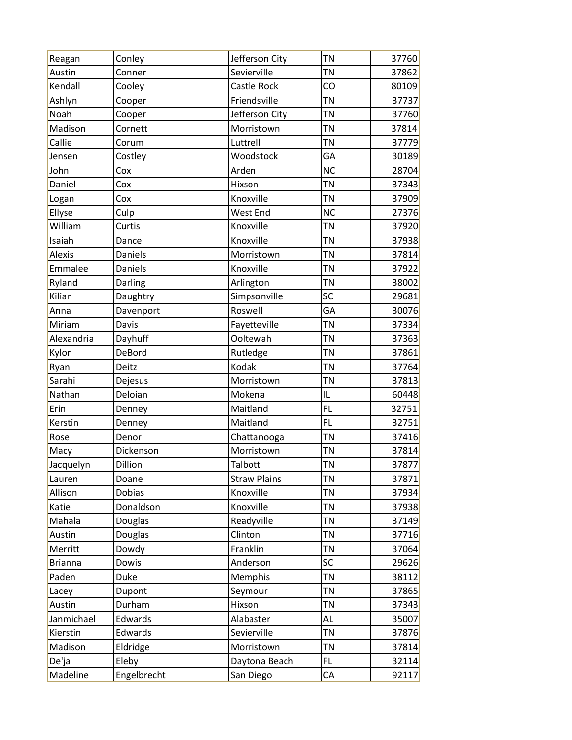| Reagan         | Conley      | Jefferson City      | <b>TN</b> | 37760 |
|----------------|-------------|---------------------|-----------|-------|
| Austin         | Conner      | Sevierville         | <b>TN</b> | 37862 |
| Kendall        | Cooley      | Castle Rock         | CO        | 80109 |
| Ashlyn         | Cooper      | Friendsville        | <b>TN</b> | 37737 |
| Noah           | Cooper      | Jefferson City      | <b>TN</b> | 37760 |
| Madison        | Cornett     | Morristown          | <b>TN</b> | 37814 |
| Callie         | Corum       | Luttrell            | <b>TN</b> | 37779 |
| Jensen         | Costley     | Woodstock           | GA        | 30189 |
| John           | Cox         | Arden               | <b>NC</b> | 28704 |
| Daniel         | Cox         | Hixson              | <b>TN</b> | 37343 |
| Logan          | Cox         | Knoxville           | <b>TN</b> | 37909 |
| Ellyse         | Culp        | West End            | <b>NC</b> | 27376 |
| William        | Curtis      | Knoxville           | <b>TN</b> | 37920 |
| Isaiah         | Dance       | Knoxville           | <b>TN</b> | 37938 |
| Alexis         | Daniels     | Morristown          | <b>TN</b> | 37814 |
| Emmalee        | Daniels     | Knoxville           | <b>TN</b> | 37922 |
| Ryland         | Darling     | Arlington           | <b>TN</b> | 38002 |
| Kilian         | Daughtry    | Simpsonville        | SC        | 29681 |
| Anna           | Davenport   | Roswell             | GA        | 30076 |
| Miriam         | Davis       | Fayetteville        | <b>TN</b> | 37334 |
| Alexandria     | Dayhuff     | Ooltewah            | <b>TN</b> | 37363 |
| Kylor          | DeBord      | Rutledge            | <b>TN</b> | 37861 |
| Ryan           | Deitz       | Kodak               | <b>TN</b> | 37764 |
| Sarahi         | Dejesus     | Morristown          | <b>TN</b> | 37813 |
| Nathan         | Deloian     | Mokena              | IL        | 60448 |
| Erin           | Denney      | Maitland            | FL        | 32751 |
| Kerstin        | Denney      | Maitland            | FL        | 32751 |
| Rose           | Denor       | Chattanooga         | <b>TN</b> | 37416 |
| Macy           | Dickenson   | Morristown          | <b>TN</b> | 37814 |
| Jacquelyn      | Dillion     | Talbott             | <b>TN</b> | 37877 |
| Lauren         | Doane       | <b>Straw Plains</b> | <b>TN</b> | 37871 |
| Allison        | Dobias      | Knoxville           | <b>TN</b> | 37934 |
| Katie          | Donaldson   | Knoxville           | <b>TN</b> | 37938 |
| Mahala         | Douglas     | Readyville          | <b>TN</b> | 37149 |
| Austin         | Douglas     | Clinton             | <b>TN</b> | 37716 |
| Merritt        | Dowdy       | Franklin            | <b>TN</b> | 37064 |
| <b>Brianna</b> | Dowis       | Anderson            | SC        | 29626 |
| Paden          | Duke        | Memphis             | <b>TN</b> | 38112 |
| Lacey          | Dupont      | Seymour             | <b>TN</b> | 37865 |
| Austin         | Durham      | Hixson              | <b>TN</b> | 37343 |
| Janmichael     | Edwards     | Alabaster           | AL        | 35007 |
| Kierstin       | Edwards     | Sevierville         | <b>TN</b> | 37876 |
| Madison        | Eldridge    | Morristown          | <b>TN</b> | 37814 |
| De'ja          | Eleby       | Daytona Beach       | FL.       | 32114 |
| Madeline       | Engelbrecht | San Diego           | CA        | 92117 |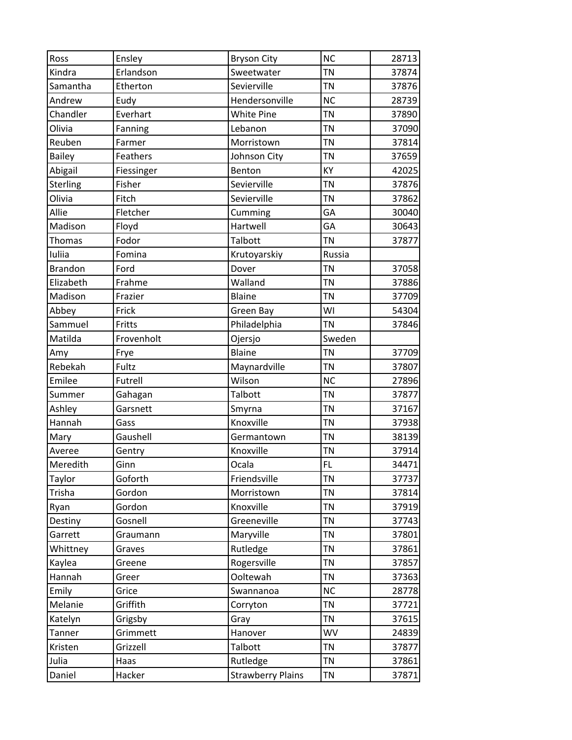| Ross           | Ensley     | <b>Bryson City</b>       | <b>NC</b> | 28713 |
|----------------|------------|--------------------------|-----------|-------|
| Kindra         | Erlandson  | Sweetwater               | <b>TN</b> | 37874 |
| Samantha       | Etherton   | Sevierville              | <b>TN</b> | 37876 |
| Andrew         | Eudy       | Hendersonville           | <b>NC</b> | 28739 |
| Chandler       | Everhart   | <b>White Pine</b>        | <b>TN</b> | 37890 |
| Olivia         | Fanning    | Lebanon                  | <b>TN</b> | 37090 |
| Reuben         | Farmer     | Morristown               | <b>TN</b> | 37814 |
| <b>Bailey</b>  | Feathers   | Johnson City             | <b>TN</b> | 37659 |
| Abigail        | Fiessinger | Benton                   | KY        | 42025 |
| Sterling       | Fisher     | Sevierville              | <b>TN</b> | 37876 |
| Olivia         | Fitch      | Sevierville              | <b>TN</b> | 37862 |
| Allie          | Fletcher   | Cumming                  | GA        | 30040 |
| Madison        | Floyd      | Hartwell                 | GA        | 30643 |
| Thomas         | Fodor      | Talbott                  | <b>TN</b> | 37877 |
| Iuliia         | Fomina     | Krutoyarskiy             | Russia    |       |
| <b>Brandon</b> | Ford       | Dover                    | <b>TN</b> | 37058 |
| Elizabeth      | Frahme     | Walland                  | <b>TN</b> | 37886 |
| Madison        | Frazier    | Blaine                   | <b>TN</b> | 37709 |
| Abbey          | Frick      | Green Bay                | WI        | 54304 |
| Sammuel        | Fritts     | Philadelphia             | <b>TN</b> | 37846 |
| Matilda        | Frovenholt | Ojersjo                  | Sweden    |       |
| Amy            | Frye       | <b>Blaine</b>            | <b>TN</b> | 37709 |
| Rebekah        | Fultz      | Maynardville             | <b>TN</b> | 37807 |
| Emilee         | Futrell    | Wilson                   | <b>NC</b> | 27896 |
| Summer         | Gahagan    | Talbott                  | <b>TN</b> | 37877 |
| Ashley         | Garsnett   | Smyrna                   | <b>TN</b> | 37167 |
| Hannah         | Gass       | Knoxville                | <b>TN</b> | 37938 |
| Mary           | Gaushell   | Germantown               | <b>TN</b> | 38139 |
| Averee         | Gentry     | Knoxville                | <b>TN</b> | 37914 |
| Meredith       | Ginn       | Ocala                    | FL.       | 34471 |
| Taylor         | Goforth    | Friendsville             | <b>TN</b> | 37737 |
| Trisha         | Gordon     | Morristown               | <b>TN</b> | 37814 |
| Ryan           | Gordon     | Knoxville                | <b>TN</b> | 37919 |
| Destiny        | Gosnell    | Greeneville              | TN        | 37743 |
| Garrett        | Graumann   | Maryville                | <b>TN</b> | 37801 |
| Whittney       | Graves     | Rutledge                 | <b>TN</b> | 37861 |
| Kaylea         | Greene     | Rogersville              | <b>TN</b> | 37857 |
| Hannah         | Greer      | Ooltewah                 | <b>TN</b> | 37363 |
| Emily          | Grice      | Swannanoa                | <b>NC</b> | 28778 |
| Melanie        | Griffith   | Corryton                 | <b>TN</b> | 37721 |
| Katelyn        | Grigsby    | Gray                     | <b>TN</b> | 37615 |
| Tanner         | Grimmett   | Hanover                  | WV        | 24839 |
| Kristen        | Grizzell   | Talbott                  | <b>TN</b> | 37877 |
| Julia          | Haas       | Rutledge                 | <b>TN</b> | 37861 |
| Daniel         | Hacker     | <b>Strawberry Plains</b> | ΤN        | 37871 |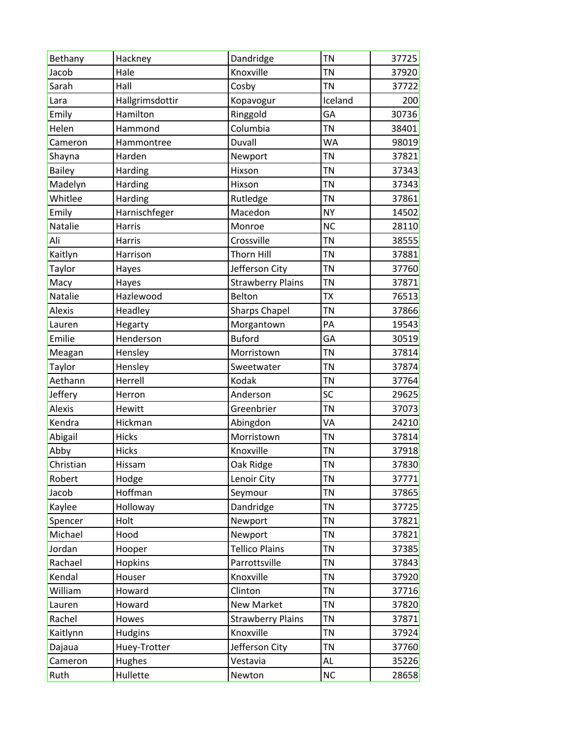| Bethany       | Hackney         | Dandridge                | <b>TN</b> | 37725 |
|---------------|-----------------|--------------------------|-----------|-------|
| Jacob         | Hale            | Knoxville                | <b>TN</b> | 37920 |
| Sarah         | Hall            | Cosby                    | <b>TN</b> | 37722 |
| Lara          | Hallgrimsdottir | Kopavogur                | Iceland   | 200   |
| Emily         | Hamilton        | Ringgold                 | GA        | 30736 |
| Helen         | Hammond         | Columbia                 | <b>TN</b> | 38401 |
| Cameron       | Hammontree      | Duvall                   | <b>WA</b> | 98019 |
| Shayna        | Harden          | Newport                  | <b>TN</b> | 37821 |
| <b>Bailey</b> | Harding         | Hixson                   | <b>TN</b> | 37343 |
| Madelyn       | Harding         | Hixson                   | <b>TN</b> | 37343 |
| Whitlee       | Harding         | Rutledge                 | <b>TN</b> | 37861 |
| Emily         | Harnischfeger   | Macedon                  | <b>NY</b> | 14502 |
| Natalie       | Harris          | Monroe                   | <b>NC</b> | 28110 |
| Ali           | Harris          | Crossville               | <b>TN</b> | 38555 |
| Kaitlyn       | Harrison        | <b>Thorn Hill</b>        | <b>TN</b> | 37881 |
| Taylor        | Hayes           | Jefferson City           | <b>TN</b> | 37760 |
| Macy          | Hayes           | <b>Strawberry Plains</b> | <b>TN</b> | 37871 |
| Natalie       | Hazlewood       | Belton                   | <b>TX</b> | 76513 |
| Alexis        | Headley         | <b>Sharps Chapel</b>     | <b>TN</b> | 37866 |
| Lauren        | Hegarty         | Morgantown               | PA        | 19543 |
| Emilie        | Henderson       | <b>Buford</b>            | GA        | 30519 |
| Meagan        | Hensley         | Morristown               | <b>TN</b> | 37814 |
| Taylor        | Hensley         | Sweetwater               | <b>TN</b> | 37874 |
| Aethann       | Herrell         | Kodak                    | <b>TN</b> | 37764 |
| Jeffery       | Herron          | Anderson                 | SC        | 29625 |
| <b>Alexis</b> | Hewitt          | Greenbrier               | <b>TN</b> | 37073 |
| Kendra        | Hickman         | Abingdon                 | VA        | 24210 |
| Abigail       | Hicks           | Morristown               | <b>TN</b> | 37814 |
| Abby          | Hicks           | Knoxville                | <b>TN</b> | 37918 |
| Christian     | Hissam          | Oak Ridge                | <b>TN</b> | 37830 |
| Robert        | Hodge           | Lenoir City              | <b>TN</b> | 37771 |
| Jacob         | Hoffman         | Seymour                  | <b>TN</b> | 37865 |
| Kaylee        | Holloway        | Dandridge                | TN        | 37725 |
| Spencer       | Holt            | Newport                  | <b>TN</b> | 37821 |
| Michael       | Hood            | Newport                  | TN        | 37821 |
| Jordan        | Hooper          | <b>Tellico Plains</b>    | <b>TN</b> | 37385 |
| Rachael       | Hopkins         | Parrottsville            | TN        | 37843 |
| Kendal        | Houser          | Knoxville                | <b>TN</b> | 37920 |
| William       | Howard          | Clinton                  | TN        | 37716 |
| Lauren        | Howard          | New Market               | <b>TN</b> | 37820 |
| Rachel        | Howes           | <b>Strawberry Plains</b> | <b>TN</b> | 37871 |
| Kaitlynn      | <b>Hudgins</b>  | Knoxville                | <b>TN</b> | 37924 |
| Dajaua        | Huey-Trotter    | Jefferson City           | TN        | 37760 |
| Cameron       | Hughes          | Vestavia                 | AL        | 35226 |
| Ruth          | Hullette        | Newton                   | <b>NC</b> | 28658 |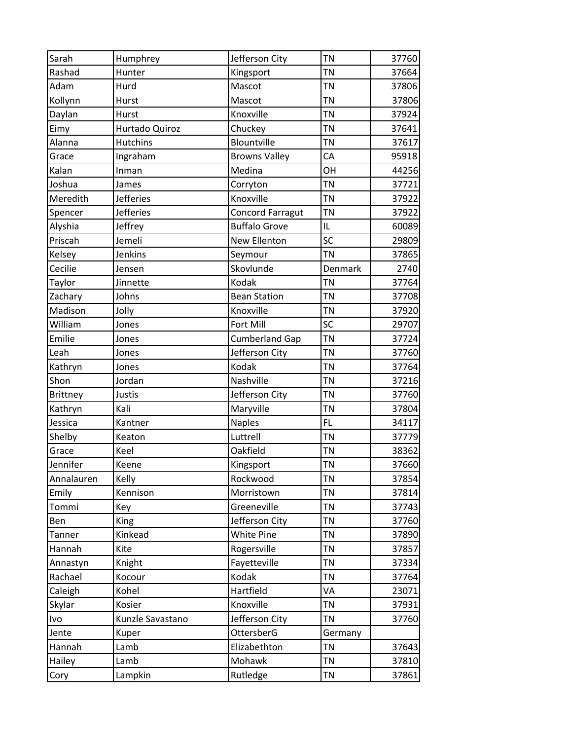| Sarah           | Humphrey         | Jefferson City          | <b>TN</b> | 37760 |
|-----------------|------------------|-------------------------|-----------|-------|
| Rashad          | Hunter           | Kingsport               | <b>TN</b> | 37664 |
| Adam            | Hurd             | Mascot                  | <b>TN</b> | 37806 |
| Kollynn         | Hurst            | Mascot                  | <b>TN</b> | 37806 |
| Daylan          | Hurst            | Knoxville               | <b>TN</b> | 37924 |
| Eimy            | Hurtado Quiroz   | Chuckey                 | <b>TN</b> | 37641 |
| Alanna          | Hutchins         | Blountville             | <b>TN</b> | 37617 |
| Grace           | Ingraham         | <b>Browns Valley</b>    | CA        | 95918 |
| Kalan           | Inman            | Medina                  | OH        | 44256 |
| Joshua          | James            | Corryton                | <b>TN</b> | 37721 |
| Meredith        | <b>Jefferies</b> | Knoxville               | <b>TN</b> | 37922 |
| Spencer         | <b>Jefferies</b> | <b>Concord Farragut</b> | <b>TN</b> | 37922 |
| Alyshia         | Jeffrey          | <b>Buffalo Grove</b>    | IL        | 60089 |
| Priscah         | Jemeli           | <b>New Ellenton</b>     | SC        | 29809 |
| Kelsey          | Jenkins          | Seymour                 | <b>TN</b> | 37865 |
| Cecilie         | Jensen           | Skovlunde               | Denmark   | 2740  |
| Taylor          | Jinnette         | Kodak                   | <b>TN</b> | 37764 |
| Zachary         | Johns            | <b>Bean Station</b>     | <b>TN</b> | 37708 |
| Madison         | Jolly            | Knoxville               | <b>TN</b> | 37920 |
| William         | Jones            | Fort Mill               | SC        | 29707 |
| Emilie          | Jones            | <b>Cumberland Gap</b>   | <b>TN</b> | 37724 |
| Leah            | Jones            | Jefferson City          | <b>TN</b> | 37760 |
| Kathryn         | Jones            | Kodak                   | <b>TN</b> | 37764 |
| Shon            | Jordan           | Nashville               | <b>TN</b> | 37216 |
| <b>Brittney</b> | Justis           | Jefferson City          | <b>TN</b> | 37760 |
| Kathryn         | Kali             | Maryville               | <b>TN</b> | 37804 |
| Jessica         | Kantner          | <b>Naples</b>           | FL        | 34117 |
| Shelby          | Keaton           | Luttrell                | <b>TN</b> | 37779 |
| Grace           | Keel             | Oakfield                | <b>TN</b> | 38362 |
| Jennifer        | Keene            | Kingsport               | <b>TN</b> | 37660 |
| Annalauren      | Kelly            | Rockwood                | <b>TN</b> | 37854 |
| Emily           | Kennison         | Morristown              | <b>TN</b> | 37814 |
| Tommi           | Key              | Greeneville             | <b>TN</b> | 37743 |
| Ben             | King             | Jefferson City          | <b>TN</b> | 37760 |
| Tanner          | Kinkead          | <b>White Pine</b>       | <b>TN</b> | 37890 |
| Hannah          | Kite             | Rogersville             | <b>TN</b> | 37857 |
| Annastyn        | Knight           | Fayetteville            | <b>TN</b> | 37334 |
| Rachael         | Kocour           | Kodak                   | <b>TN</b> | 37764 |
| Caleigh         | Kohel            | Hartfield               | VA        | 23071 |
| Skylar          | Kosier           | Knoxville               | <b>TN</b> | 37931 |
| Ivo             | Kunzle Savastano | Jefferson City          | <b>TN</b> | 37760 |
| Jente           | Kuper            | OttersberG              | Germany   |       |
| Hannah          | Lamb             | Elizabethton            | <b>TN</b> | 37643 |
| Hailey          | Lamb             | Mohawk                  | <b>TN</b> | 37810 |
| Cory            | Lampkin          | Rutledge                | TN        | 37861 |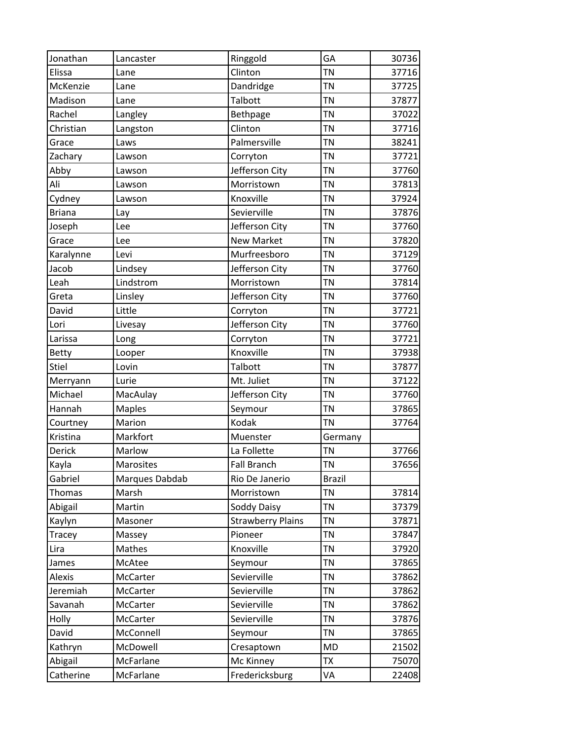| Jonathan      | Lancaster      | Ringgold                 | GA            | 30736 |
|---------------|----------------|--------------------------|---------------|-------|
| Elissa        | Lane           | Clinton                  | <b>TN</b>     | 37716 |
| McKenzie      | Lane           | Dandridge                | <b>TN</b>     | 37725 |
| Madison       | Lane           | Talbott                  | <b>TN</b>     | 37877 |
| Rachel        | Langley        | Bethpage                 | <b>TN</b>     | 37022 |
| Christian     | Langston       | Clinton                  | <b>TN</b>     | 37716 |
| Grace         | Laws           | Palmersville             | <b>TN</b>     | 38241 |
| Zachary       | Lawson         | Corryton                 | <b>TN</b>     | 37721 |
| Abby          | Lawson         | Jefferson City           | <b>TN</b>     | 37760 |
| Ali           | Lawson         | Morristown               | <b>TN</b>     | 37813 |
| Cydney        | Lawson         | Knoxville                | <b>TN</b>     | 37924 |
| <b>Briana</b> | Lay            | Sevierville              | <b>TN</b>     | 37876 |
| Joseph        | Lee            | Jefferson City           | <b>TN</b>     | 37760 |
| Grace         | Lee            | <b>New Market</b>        | <b>TN</b>     | 37820 |
| Karalynne     | Levi           | Murfreesboro             | <b>TN</b>     | 37129 |
| Jacob         | Lindsey        | Jefferson City           | <b>TN</b>     | 37760 |
| Leah          | Lindstrom      | Morristown               | <b>TN</b>     | 37814 |
| Greta         | Linsley        | Jefferson City           | <b>TN</b>     | 37760 |
| David         | Little         | Corryton                 | <b>TN</b>     | 37721 |
| Lori          | Livesay        | Jefferson City           | <b>TN</b>     | 37760 |
| Larissa       | Long           | Corryton                 | <b>TN</b>     | 37721 |
| Betty         | Looper         | Knoxville                | <b>TN</b>     | 37938 |
| <b>Stiel</b>  | Lovin          | Talbott                  | <b>TN</b>     | 37877 |
| Merryann      | Lurie          | Mt. Juliet               | <b>TN</b>     | 37122 |
| Michael       | MacAulay       | Jefferson City           | <b>TN</b>     | 37760 |
| Hannah        | <b>Maples</b>  | Seymour                  | <b>TN</b>     | 37865 |
| Courtney      | Marion         | Kodak                    | <b>TN</b>     | 37764 |
| Kristina      | Markfort       | Muenster                 | Germany       |       |
| <b>Derick</b> | Marlow         | La Follette              | <b>TN</b>     | 37766 |
| Kayla         | Marosites      | <b>Fall Branch</b>       | <b>TN</b>     | 37656 |
| Gabriel       | Marques Dabdab | Rio De Janerio           | <b>Brazil</b> |       |
| Thomas        | Marsh          | Morristown               | <b>TN</b>     | 37814 |
| Abigail       | Martin         | Soddy Daisy              | <b>TN</b>     | 37379 |
| Kaylyn        | Masoner        | <b>Strawberry Plains</b> | <b>TN</b>     | 37871 |
| Tracey        | Massey         | Pioneer                  | <b>TN</b>     | 37847 |
| Lira          | Mathes         | Knoxville                | <b>TN</b>     | 37920 |
| James         | McAtee         | Seymour                  | <b>TN</b>     | 37865 |
| Alexis        | McCarter       | Sevierville              | <b>TN</b>     | 37862 |
| Jeremiah      | McCarter       | Sevierville              | <b>TN</b>     | 37862 |
| Savanah       | McCarter       | Sevierville              | <b>TN</b>     | 37862 |
| Holly         | McCarter       | Sevierville              | <b>TN</b>     | 37876 |
| David         | McConnell      | Seymour                  | TN            | 37865 |
| Kathryn       | McDowell       | Cresaptown               | <b>MD</b>     | 21502 |
| Abigail       | McFarlane      | Mc Kinney                | TX            | 75070 |
| Catherine     | McFarlane      | Fredericksburg           | VA            | 22408 |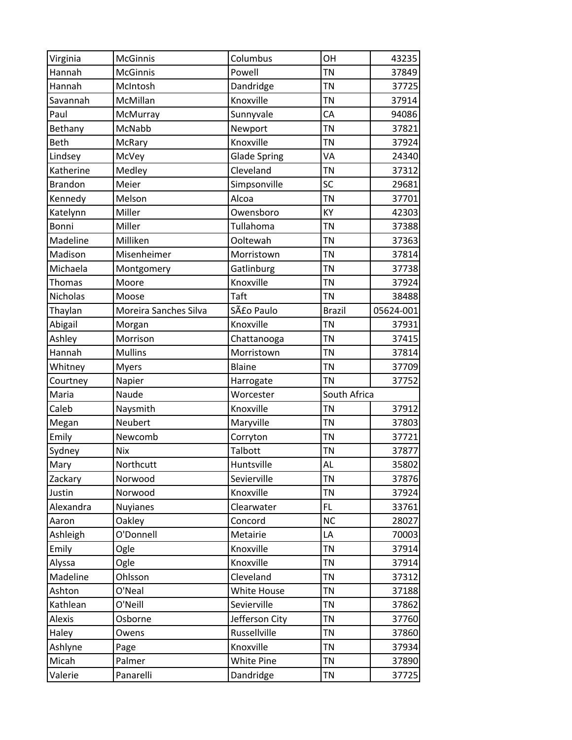| Virginia        | <b>McGinnis</b>       | Columbus            | OH            | 43235     |
|-----------------|-----------------------|---------------------|---------------|-----------|
| Hannah          | <b>McGinnis</b>       | Powell              | <b>TN</b>     | 37849     |
| Hannah          | McIntosh              | Dandridge           | TN            | 37725     |
| Savannah        | McMillan              | Knoxville           | <b>TN</b>     | 37914     |
| Paul            | McMurray              | Sunnyvale           | CA            | 94086     |
| Bethany         | McNabb                | Newport             | <b>TN</b>     | 37821     |
| Beth            | McRary                | Knoxville           | <b>TN</b>     | 37924     |
| Lindsey         | McVey                 | <b>Glade Spring</b> | VA            | 24340     |
| Katherine       | Medley                | Cleveland           | <b>TN</b>     | 37312     |
| <b>Brandon</b>  | Meier                 | Simpsonville        | SC            | 29681     |
| Kennedy         | Melson                | Alcoa               | TN            | 37701     |
| Katelynn        | Miller                | Owensboro           | KY            | 42303     |
| Bonni           | Miller                | Tullahoma           | TN            | 37388     |
| Madeline        | Milliken              | Ooltewah            | <b>TN</b>     | 37363     |
| Madison         | Misenheimer           | Morristown          | <b>TN</b>     | 37814     |
| Michaela        | Montgomery            | Gatlinburg          | TN            | 37738     |
| Thomas          | Moore                 | Knoxville           | TN            | 37924     |
| <b>Nicholas</b> | Moose                 | Taft                | <b>TN</b>     | 38488     |
| Thaylan         | Moreira Sanches Silva | São Paulo           | <b>Brazil</b> | 05624-001 |
| Abigail         | Morgan                | Knoxville           | <b>TN</b>     | 37931     |
| Ashley          | Morrison              | Chattanooga         | TN            | 37415     |
| Hannah          | <b>Mullins</b>        | Morristown          | TN            | 37814     |
| Whitney         | <b>Myers</b>          | Blaine              | TN            | 37709     |
| Courtney        | Napier                | Harrogate           | <b>TN</b>     | 37752     |
| Maria           | Naude                 | Worcester           | South Africa  |           |
| Caleb           | Naysmith              | Knoxville           | <b>TN</b>     | 37912     |
| Megan           | Neubert               | Maryville           | <b>TN</b>     | 37803     |
| Emily           | Newcomb               | Corryton            | TN            | 37721     |
| Sydney          | <b>Nix</b>            | Talbott             | TN            | 37877     |
| Mary            | Northcutt             | Huntsville          | <b>AL</b>     | 35802     |
| Zackary         | Norwood               | Sevierville         | <b>TN</b>     | 37876     |
| Justin          | Norwood               | Knoxville           | <b>TN</b>     | 37924     |
| Alexandra       | <b>Nuyianes</b>       | Clearwater          | FL            | 33761     |
| Aaron           | Oakley                | Concord             | <b>NC</b>     | 28027     |
| Ashleigh        | O'Donnell             | Metairie            | LA            | 70003     |
| Emily           | Ogle                  | Knoxville           | <b>TN</b>     | 37914     |
| Alyssa          | Ogle                  | Knoxville           | <b>TN</b>     | 37914     |
| Madeline        | Ohlsson               | Cleveland           | TN            | 37312     |
| Ashton          | O'Neal                | <b>White House</b>  | <b>TN</b>     | 37188     |
| Kathlean        | O'Neill               | Sevierville         | <b>TN</b>     | 37862     |
| Alexis          | Osborne               | Jefferson City      | <b>TN</b>     | 37760     |
| Haley           | Owens                 | Russellville        | TN            | 37860     |
| Ashlyne         | Page                  | Knoxville           | <b>TN</b>     | 37934     |
| Micah           | Palmer                | <b>White Pine</b>   | <b>TN</b>     | 37890     |
| Valerie         | Panarelli             | Dandridge           | TN            | 37725     |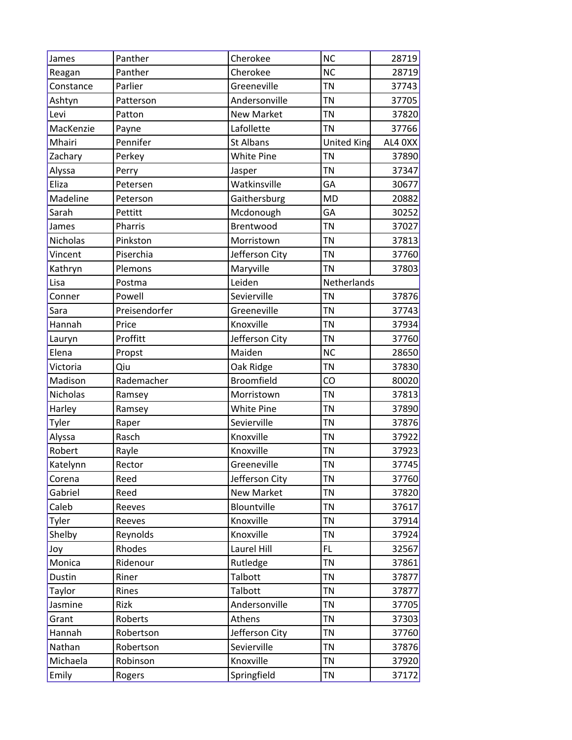| James     | Panther       | Cherokee          | <b>NC</b>          | 28719     |
|-----------|---------------|-------------------|--------------------|-----------|
| Reagan    | Panther       | Cherokee          | <b>NC</b>          | 28719     |
| Constance | Parlier       | Greeneville       | <b>TN</b>          | 37743     |
| Ashtyn    | Patterson     | Andersonville     | <b>TN</b>          | 37705     |
| Levi      | Patton        | <b>New Market</b> | <b>TN</b>          | 37820     |
| MacKenzie | Payne         | Lafollette        | <b>TN</b>          | 37766     |
| Mhairi    | Pennifer      | <b>St Albans</b>  | <b>United King</b> | AL4 $0XX$ |
| Zachary   | Perkey        | <b>White Pine</b> | <b>TN</b>          | 37890     |
| Alyssa    | Perry         | Jasper            | <b>TN</b>          | 37347     |
| Eliza     | Petersen      | Watkinsville      | GA                 | 30677     |
| Madeline  | Peterson      | Gaithersburg      | <b>MD</b>          | 20882     |
| Sarah     | Pettitt       | Mcdonough         | GA                 | 30252     |
| James     | Pharris       | Brentwood         | <b>TN</b>          | 37027     |
| Nicholas  | Pinkston      | Morristown        | <b>TN</b>          | 37813     |
| Vincent   | Piserchia     | Jefferson City    | <b>TN</b>          | 37760     |
| Kathryn   | Plemons       | Maryville         | <b>TN</b>          | 37803     |
| Lisa      | Postma        | Leiden            | Netherlands        |           |
| Conner    | Powell        | Sevierville       | <b>TN</b>          | 37876     |
| Sara      | Preisendorfer | Greeneville       | <b>TN</b>          | 37743     |
| Hannah    | Price         | Knoxville         | <b>TN</b>          | 37934     |
| Lauryn    | Proffitt      | Jefferson City    | <b>TN</b>          | 37760     |
| Elena     | Propst        | Maiden            | <b>NC</b>          | 28650     |
| Victoria  | Qiu           | Oak Ridge         | <b>TN</b>          | 37830     |
| Madison   | Rademacher    | Broomfield        | CO                 | 80020     |
| Nicholas  | Ramsey        | Morristown        | <b>TN</b>          | 37813     |
| Harley    | Ramsey        | <b>White Pine</b> | <b>TN</b>          | 37890     |
| Tyler     | Raper         | Sevierville       | <b>TN</b>          | 37876     |
| Alyssa    | Rasch         | Knoxville         | <b>TN</b>          | 37922     |
| Robert    | Rayle         | Knoxville         | <b>TN</b>          | 37923     |
| Katelynn  | Rector        | Greeneville       | <b>TN</b>          | 37745     |
| Corena    | Reed          | Jefferson City    | <b>TN</b>          | 37760     |
| Gabriel   | Reed          | <b>New Market</b> | <b>TN</b>          | 37820     |
| Caleb     | Reeves        | Blountville       | <b>TN</b>          | 37617     |
| Tyler     | Reeves        | Knoxville         | <b>TN</b>          | 37914     |
| Shelby    | Reynolds      | Knoxville         | TN                 | 37924     |
| Joy       | Rhodes        | Laurel Hill       | <b>FL</b>          | 32567     |
| Monica    | Ridenour      | Rutledge          | <b>TN</b>          | 37861     |
| Dustin    | Riner         | Talbott           | <b>TN</b>          | 37877     |
| Taylor    | Rines         | Talbott           | <b>TN</b>          | 37877     |
| Jasmine   | Rizk          | Andersonville     | <b>TN</b>          | 37705     |
| Grant     | Roberts       | Athens            | <b>TN</b>          | 37303     |
| Hannah    | Robertson     | Jefferson City    | <b>TN</b>          | 37760     |
| Nathan    | Robertson     | Sevierville       | <b>TN</b>          | 37876     |
| Michaela  | Robinson      | Knoxville         | <b>TN</b>          | 37920     |
| Emily     | Rogers        | Springfield       | TN                 | 37172     |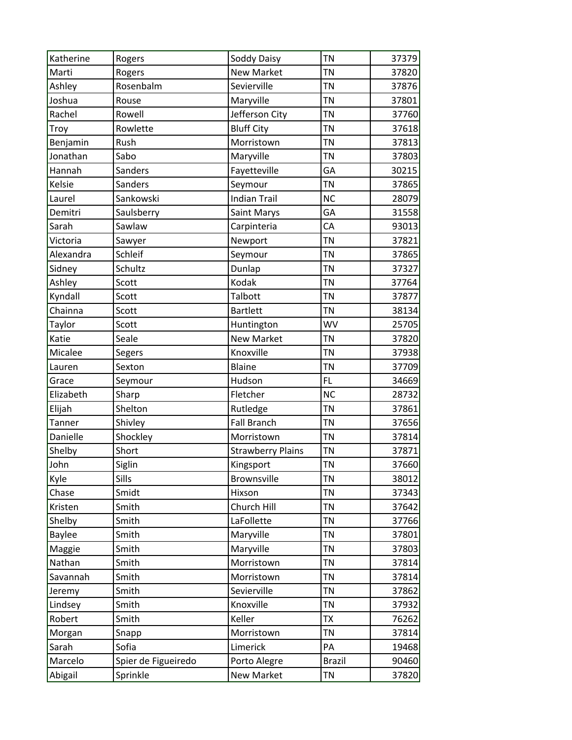| Katherine     | Rogers              | Soddy Daisy              | <b>TN</b>     | 37379 |
|---------------|---------------------|--------------------------|---------------|-------|
| Marti         | Rogers              | <b>New Market</b>        | <b>TN</b>     | 37820 |
| Ashley        | Rosenbalm           | Sevierville              | <b>TN</b>     | 37876 |
| Joshua        | Rouse               | Maryville                | <b>TN</b>     | 37801 |
| Rachel        | Rowell              | Jefferson City           | <b>TN</b>     | 37760 |
| Troy          | Rowlette            | <b>Bluff City</b>        | <b>TN</b>     | 37618 |
| Benjamin      | Rush                | Morristown               | <b>TN</b>     | 37813 |
| Jonathan      | Sabo                | Maryville                | <b>TN</b>     | 37803 |
| Hannah        | Sanders             | Fayetteville             | GA            | 30215 |
| <b>Kelsie</b> | Sanders             | Seymour                  | <b>TN</b>     | 37865 |
| Laurel        | Sankowski           | <b>Indian Trail</b>      | <b>NC</b>     | 28079 |
| Demitri       | Saulsberry          | Saint Marys              | GA            | 31558 |
| Sarah         | Sawlaw              | Carpinteria              | CA            | 93013 |
| Victoria      | Sawyer              | Newport                  | <b>TN</b>     | 37821 |
| Alexandra     | Schleif             | Seymour                  | <b>TN</b>     | 37865 |
| Sidney        | Schultz             | Dunlap                   | <b>TN</b>     | 37327 |
| Ashley        | Scott               | Kodak                    | <b>TN</b>     | 37764 |
| Kyndall       | Scott               | Talbott                  | <b>TN</b>     | 37877 |
| Chainna       | Scott               | <b>Bartlett</b>          | <b>TN</b>     | 38134 |
| Taylor        | Scott               | Huntington               | <b>WV</b>     | 25705 |
| Katie         | Seale               | <b>New Market</b>        | <b>TN</b>     | 37820 |
| Micalee       | Segers              | Knoxville                | <b>TN</b>     | 37938 |
| Lauren        | Sexton              | <b>Blaine</b>            | <b>TN</b>     | 37709 |
| Grace         | Seymour             | Hudson                   | FL.           | 34669 |
| Elizabeth     | Sharp               | Fletcher                 | <b>NC</b>     | 28732 |
| Elijah        | Shelton             | Rutledge                 | <b>TN</b>     | 37861 |
| Tanner        | Shivley             | <b>Fall Branch</b>       | <b>TN</b>     | 37656 |
| Danielle      | Shockley            | Morristown               | <b>TN</b>     | 37814 |
| Shelby        | Short               | <b>Strawberry Plains</b> | TN            | 37871 |
| John          | Siglin              | Kingsport                | <b>TN</b>     | 37660 |
| Kyle          | Sills               | Brownsville              | <b>TN</b>     | 38012 |
| Chase         | Smidt               | Hixson                   | <b>TN</b>     | 37343 |
| Kristen       | Smith               | Church Hill              | <b>TN</b>     | 37642 |
| Shelby        | Smith               | LaFollette               | <b>TN</b>     | 37766 |
| <b>Baylee</b> | Smith               | Maryville                | <b>TN</b>     | 37801 |
| Maggie        | Smith               | Maryville                | <b>TN</b>     | 37803 |
| Nathan        | Smith               | Morristown               | <b>TN</b>     | 37814 |
| Savannah      | Smith               | Morristown               | <b>TN</b>     | 37814 |
| Jeremy        | Smith               | Sevierville              | <b>TN</b>     | 37862 |
| Lindsey       | Smith               | Knoxville                | <b>TN</b>     | 37932 |
| Robert        | Smith               | Keller                   | <b>TX</b>     | 76262 |
| Morgan        | Snapp               | Morristown               | <b>TN</b>     | 37814 |
| Sarah         | Sofia               | Limerick                 | PA            | 19468 |
| Marcelo       | Spier de Figueiredo | Porto Alegre             | <b>Brazil</b> | 90460 |
| Abigail       | Sprinkle            | New Market               | <b>TN</b>     | 37820 |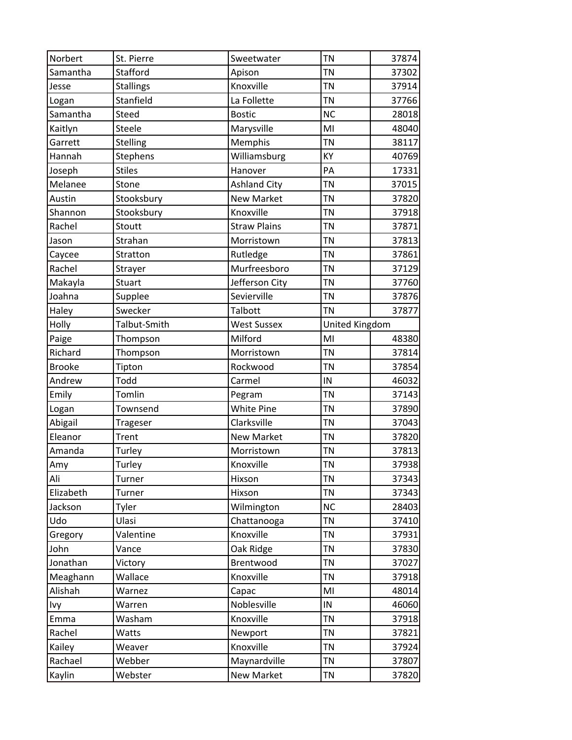| Norbert       | St. Pierre       | Sweetwater          | <b>TN</b>      | 37874 |
|---------------|------------------|---------------------|----------------|-------|
| Samantha      | Stafford         | Apison              | <b>TN</b>      | 37302 |
| Jesse         | <b>Stallings</b> | Knoxville           | <b>TN</b>      | 37914 |
| Logan         | Stanfield        | La Follette         | <b>TN</b>      | 37766 |
| Samantha      | Steed            | <b>Bostic</b>       | <b>NC</b>      | 28018 |
| Kaitlyn       | Steele           | Marysville          | MI             | 48040 |
| Garrett       | Stelling         | Memphis             | <b>TN</b>      | 38117 |
| Hannah        | Stephens         | Williamsburg        | KY             | 40769 |
| Joseph        | <b>Stiles</b>    | Hanover             | PA             | 17331 |
| Melanee       | Stone            | <b>Ashland City</b> | <b>TN</b>      | 37015 |
| Austin        | Stooksbury       | <b>New Market</b>   | <b>TN</b>      | 37820 |
| Shannon       | Stooksbury       | Knoxville           | <b>TN</b>      | 37918 |
| Rachel        | Stoutt           | <b>Straw Plains</b> | <b>TN</b>      | 37871 |
| Jason         | Strahan          | Morristown          | <b>TN</b>      | 37813 |
| Caycee        | Stratton         | Rutledge            | <b>TN</b>      | 37861 |
| Rachel        | Strayer          | Murfreesboro        | <b>TN</b>      | 37129 |
| Makayla       | Stuart           | Jefferson City      | <b>TN</b>      | 37760 |
| Joahna        | Supplee          | Sevierville         | <b>TN</b>      | 37876 |
| Haley         | Swecker          | Talbott             | <b>TN</b>      | 37877 |
| Holly         | Talbut-Smith     | <b>West Sussex</b>  | United Kingdom |       |
| Paige         | Thompson         | Milford             | MI             | 48380 |
| Richard       | Thompson         | Morristown          | <b>TN</b>      | 37814 |
| <b>Brooke</b> | Tipton           | Rockwood            | <b>TN</b>      | 37854 |
| Andrew        | Todd             | Carmel              | IN             | 46032 |
| Emily         | Tomlin           | Pegram              | <b>TN</b>      | 37143 |
| Logan         | Townsend         | <b>White Pine</b>   | <b>TN</b>      | 37890 |
| Abigail       | Trageser         | Clarksville         | <b>TN</b>      | 37043 |
| Eleanor       | Trent            | <b>New Market</b>   | <b>TN</b>      | 37820 |
| Amanda        | Turley           | Morristown          | <b>TN</b>      | 37813 |
| Amy           | Turley           | Knoxville           | <b>TN</b>      | 37938 |
| Ali           | Turner           | Hixson              | <b>TN</b>      | 37343 |
| Elizabeth     | Turner           | Hixson              | <b>TN</b>      | 37343 |
| Jackson       | Tyler            | Wilmington          | <b>NC</b>      | 28403 |
| Udo           | Ulasi            | Chattanooga         | <b>TN</b>      | 37410 |
| Gregory       | Valentine        | Knoxville           | <b>TN</b>      | 37931 |
| John          | Vance            | Oak Ridge           | <b>TN</b>      | 37830 |
| Jonathan      | Victory          | Brentwood           | <b>TN</b>      | 37027 |
| Meaghann      | Wallace          | Knoxville           | <b>TN</b>      | 37918 |
| Alishah       | Warnez           | Capac               | MI             | 48014 |
| Ivy           | Warren           | Noblesville         | IN             | 46060 |
| Emma          | Washam           | Knoxville           | <b>TN</b>      | 37918 |
| Rachel        | Watts            | Newport             | <b>TN</b>      | 37821 |
| Kailey        | Weaver           | Knoxville           | <b>TN</b>      | 37924 |
| Rachael       | Webber           | Maynardville        | <b>TN</b>      | 37807 |
| Kaylin        | Webster          | New Market          | TN             | 37820 |